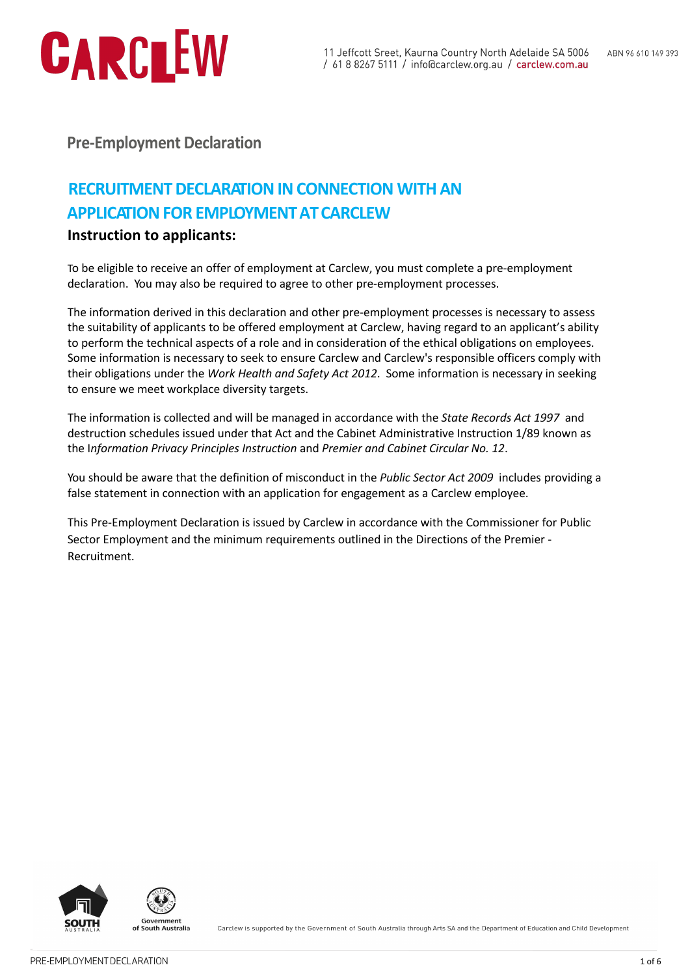# CARCLEW

11 Jeffcott Sreet, Kaurna Country North Adelaide SA 5006 / 61 8 8267 5111 / info@carclew.org.au / carclew.com.au

# **Pre-Employment Declaration**

# **RECRUITMENT DECLARATION IN CONNECTION WITH AN APPLICATIONFOR EMPLOYMENTATCARCLEW**

## **Instruction to applicants:**

To be eligible to receive an offer of employment at Carclew, you must complete a pre-employment declaration. You may also be required to agree to other pre-employment processes.

The information derived in this declaration and other pre-employment processes is necessary to assess the suitability of applicants to be offered employment at Carclew, having regard to an applicant's ability to perform the technical aspects of a role and in consideration of the ethical obligations on employees. Some information is necessary to seek to ensure Carclew and Carclew's responsible officers comply with their obligations under the *Work Health and Safety Act 2012*. Some information is necessary in seeking to ensure we meet workplace diversity targets.

The information is collected and will be managed in accordance with the *State Records Act 1997* and destruction schedules issued under that Act and the Cabinet Administrative Instruction 1/89 known as the I*nformation Privacy Principles Instruction* and *Premier and Cabinet Circular No. 12*.

You should be aware that the definition of misconduct in the *Public Sector Act 2009* includes providing a false statement in connection with an application for engagement as a Carclew employee.

This Pre-Employment Declaration is issued by Carclew in accordance with the Commissioner for Public Sector Employment and the minimum requirements outlined in the Directions of the Premier - Recruitment.



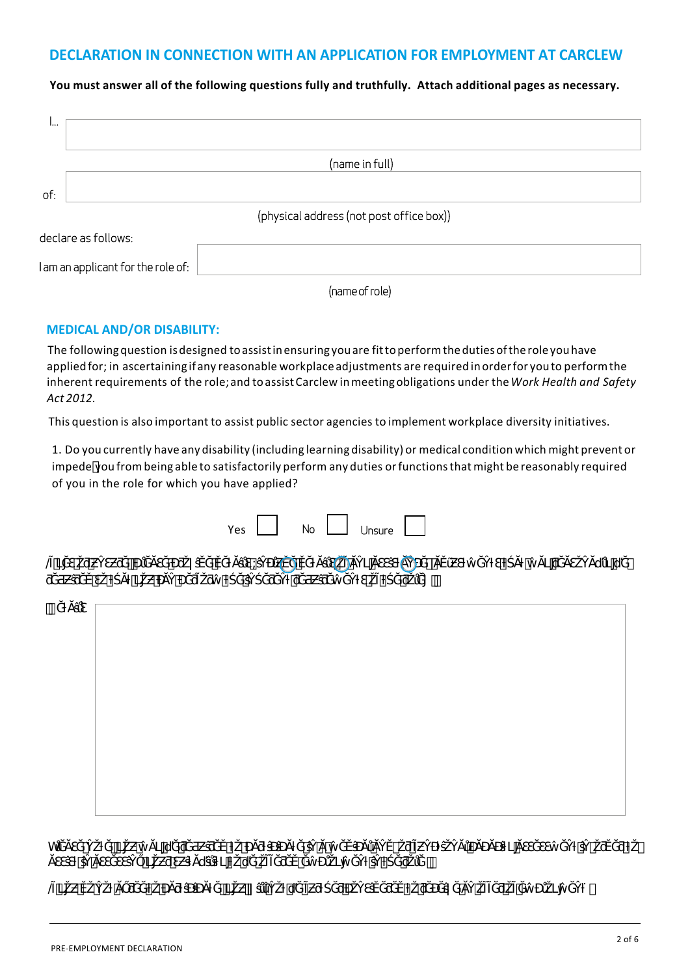## **DECLARATION IN CONNECTION WITH AN APPLICATION FOR EMPLOYMENT AT CARCLEW**

### **You must answer all of the following questions fully and truthfully. Attach additional pages as necessary.**

| 1   |                                          |
|-----|------------------------------------------|
|     |                                          |
|     |                                          |
|     | (name in full)                           |
|     |                                          |
| of: |                                          |
|     |                                          |
|     | (physical address (not post office box)) |
|     |                                          |
|     | declare as follows:                      |
|     |                                          |
|     | I am an applicant for the role of:       |
|     |                                          |
|     |                                          |

(name of role)

#### **MEDICAL AND/OR DISABILITY:**

The followingquestion isdesigned toassistinensuring youare fittoperformthedutiesoftheroleyouhave appliedfor; in ascertaining if any reasonable workplace adjustments are required inorderfor youto performthe inherent requirements of the role; and toassistCarclew inmeetingobligations under the*Work Health and Safety Act 2012.*

This question is also important to assist public sector agencies to implement workplace diversity initiatives.

1. Do you currently have any disability (including learning disability) or medical condition which might prevent or impede you from being able to satisfactorily perform any duties or functions that might be reasonably required of you in the role for which you have applied?

| the contract of the contract of the contract of the contract of the contract of the contract of the contract of | $\bullet$ $\bullet$ $\bullet$ $\bullet$ $\bullet$ $\bullet$ $\bullet$ $\bullet$ |  |
|-----------------------------------------------------------------------------------------------------------------|---------------------------------------------------------------------------------|--|

WĎ Ăv, svŎlj, švoj, švoj, švoj, švoj, švoj, švoj, švoj, švoj, švoj, švoj, švoj, švoj, švoj, švoj, švoj, švoj, švo<br>Dana svoj, švoj, švoj, švoj, švoj, švoj, švoj, švoj, švoj, švoj, švoj, švoj, švoj, švoj, švoj, švoj, švoj, švo

 $\widehat{\varnothing}$ inda  $\widehat{\varnothing}$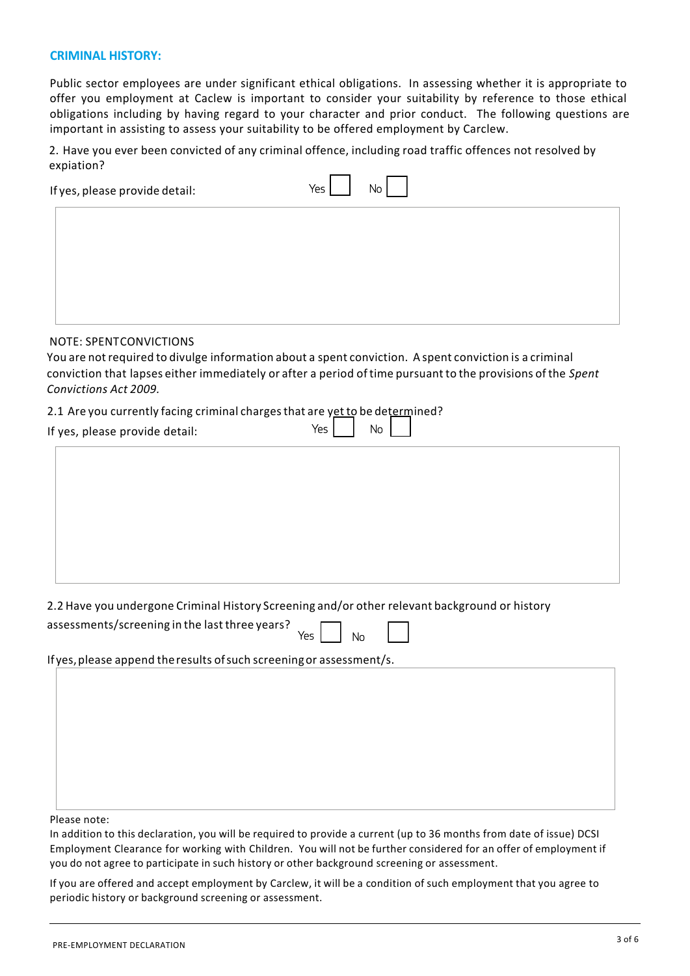#### **CRIMINAL HISTORY:**

Public sector employees are under significant ethical obligations. In assessing whether it is appropriate to offer you employment at Caclew is important to consider your suitability by reference to those ethical obligations including by having regard to your character and prior conduct. The following questions are important in assisting to assess your suitability to be offered employment by Carclew.

2. Have you ever been convicted of any criminal offence, including road traffic offences not resolved by expiation?

| If yes, please provide detail: | Yes <sub>l</sub><br><b>No</b> |
|--------------------------------|-------------------------------|
|                                |                               |
|                                |                               |
|                                |                               |
|                                |                               |
|                                |                               |

#### NOTE: SPENTCONVICTIONS

You are notrequired to divulge information about a spent conviction. A spent conviction is a criminal conviction that lapses either immediately or after a period of time pursuant to the provisions of the *Spent Convictions Act 2009.* 

2.1 Are you currently facing criminal charges that are yet to be determined?

| If yes, please provide detail: | Yes  <br>No. |  |  |  |  |
|--------------------------------|--------------|--|--|--|--|
|                                |              |  |  |  |  |
|                                |              |  |  |  |  |
|                                |              |  |  |  |  |
|                                |              |  |  |  |  |
|                                |              |  |  |  |  |
|                                |              |  |  |  |  |
|                                |              |  |  |  |  |

2.2 Have you undergone Criminal History Screening and/or other relevant background or history

| assessments/screening in the last three years? | Yes |  | - No |  |  |
|------------------------------------------------|-----|--|------|--|--|
|------------------------------------------------|-----|--|------|--|--|

If yes, please append the results of such screening or assessment/s.

Please note:

In addition to this declaration, you will be required to provide a current (up to 36 months from date of issue) DCSI Employment Clearance for working with Children. You will not be further considered for an offer of employment if you do not agree to participate in such history or other background screening or assessment.

If you are offered and accept employment by Carclew, it will be a condition of such employment that you agree to periodic history or background screening or assessment.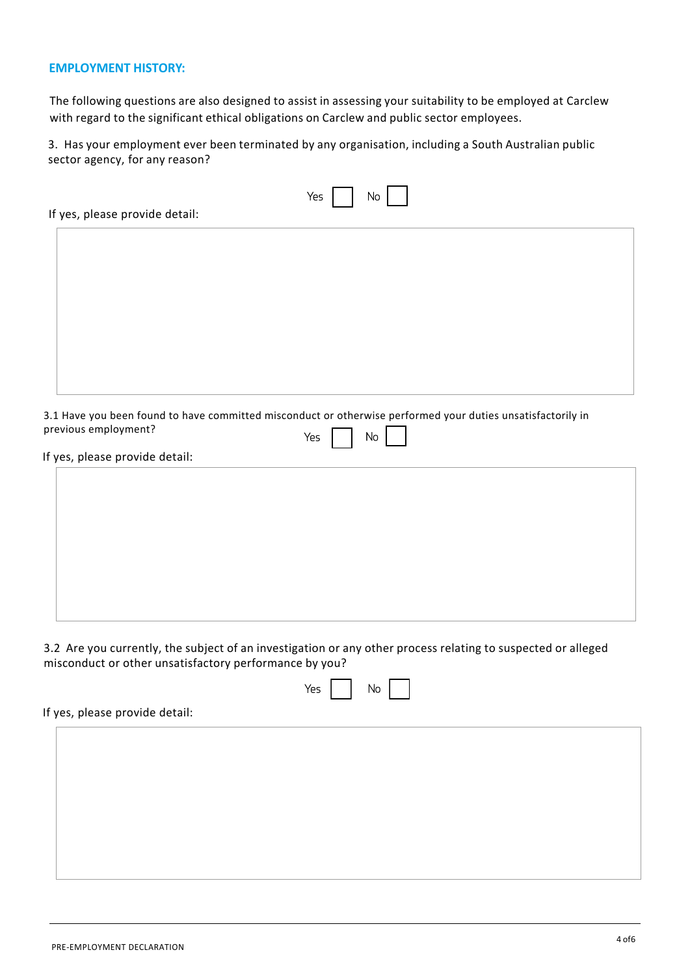#### **EMPLOYMENT HISTORY:**

The following questions are also designed to assist in assessing your suitability to be employed at Carclew with regard to the significant ethical obligations on Carclew and public sector employees.

3. Has your employment ever been terminated by any organisation, including a South Australian public sector agency, for any reason?

|                                | Yes<br>No                                                                                                                |
|--------------------------------|--------------------------------------------------------------------------------------------------------------------------|
| If yes, please provide detail: |                                                                                                                          |
|                                |                                                                                                                          |
|                                |                                                                                                                          |
|                                |                                                                                                                          |
|                                |                                                                                                                          |
|                                |                                                                                                                          |
|                                |                                                                                                                          |
|                                |                                                                                                                          |
| previous employment?           | 3.1 Have you been found to have committed misconduct or otherwise performed your duties unsatisfactorily in<br>Yes<br>No |
| If yes, please provide detail: |                                                                                                                          |
|                                |                                                                                                                          |
|                                |                                                                                                                          |
|                                |                                                                                                                          |
|                                |                                                                                                                          |
|                                |                                                                                                                          |

3.2 Are you currently, the subject of an investigation or any other process relating to suspected or alleged misconduct or other unsatisfactory performance by you?

| ∸ |  | -<br>חוי |  |
|---|--|----------|--|
|---|--|----------|--|

If yes, please provide detail: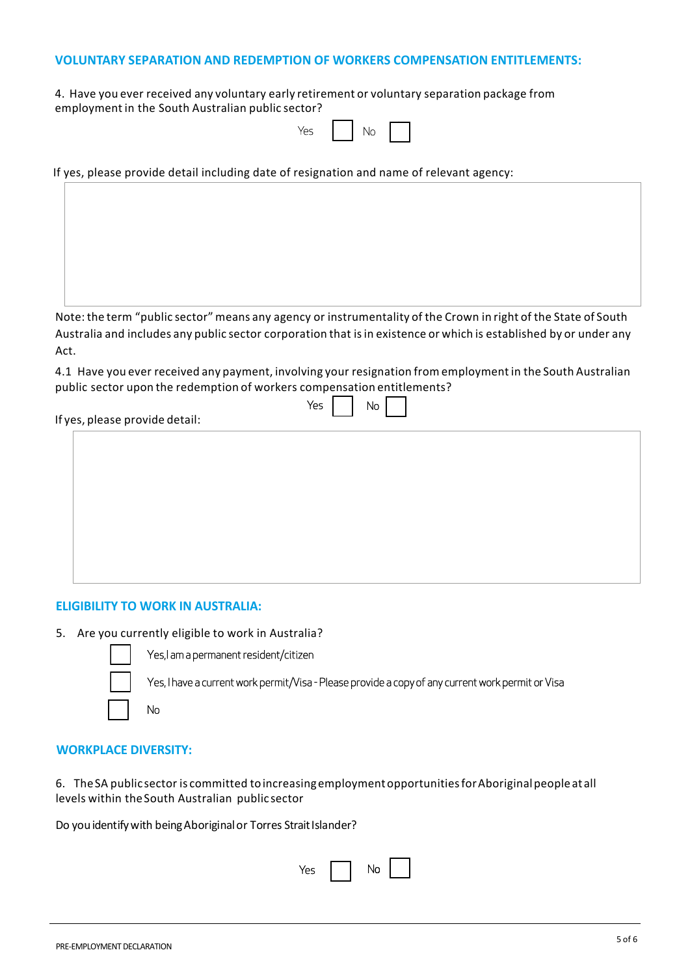#### **VOLUNTARY SEPARATION AND REDEMPTION OF WORKERS COMPENSATION ENTITLEMENTS:**

4. Have you ever received any voluntary early retirement or voluntary separation package from employment in the South Australian public sector?

| $\overline{\phantom{a}}$ | $\cdot$ $\cdot$ |
|--------------------------|-----------------|
| - -                      |                 |

If yes, please provide detail including date of resignation and name of relevant agency:

Note: the term "public sector" means any agency or instrumentality of the Crown in right of the State of South Australia and includes any public sector corporation that isin existence or which is established by or under any Act.

4.1 Have you ever received any payment, involving your resignation from employment in the South Australian public sector upon the redemption of workers compensation entitlements?

 $Y_{PS}$   $\Box$   $N_0$   $\Box$ 

#### **ELIGIBILITY TO WORK IN AUSTRALIA:**

No

5. Are you currently eligible to work in Australia?



Yes, I am a permanent resident/citizen

Yes, I have a current work permit/Visa - Please provide a copy of any current work permit or Visa

#### **WORKPLACE DIVERSITY:**

6. TheSA public sector is committed toincreasingemploymentopportunitiesforAboriginalpeopleatall levels within theSouth Australian public sector

Do you identify with being Aboriginal or Torres Strait Islander?

| N٥<br>Yes. |  |
|------------|--|
|------------|--|